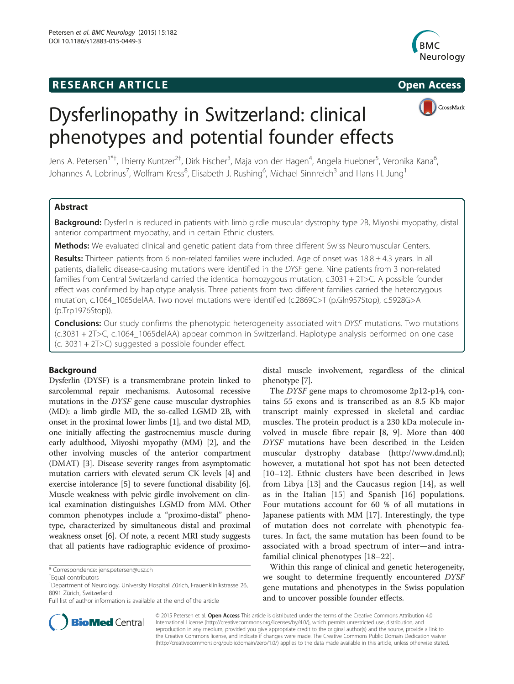# **RESEARCH ARTICLE Example 2014 CONSIDERING CONSIDERING CONSIDERING CONSIDERING CONSIDERING CONSIDERING CONSIDERING CONSIDERING CONSIDERING CONSIDERING CONSIDERING CONSIDERING CONSIDERING CONSIDERING CONSIDERING CONSIDE**





# Dysferlinopathy in Switzerland: clinical phenotypes and potential founder effects

Jens A. Petersen<sup>1\*†</sup>, Thierry Kuntzer<sup>2†</sup>, Dirk Fischer<sup>3</sup>, Maja von der Hagen<sup>4</sup>, Angela Huebner<sup>5</sup>, Veronika Kana<sup>6</sup> , Johannes A. Lobrinus<sup>7</sup>, Wolfram Kress<sup>8</sup>, Elisabeth J. Rushing<sup>6</sup>, Michael Sinnreich<sup>3</sup> and Hans H. Jung<sup>1</sup>

# Abstract

Background: Dysferlin is reduced in patients with limb girdle muscular dystrophy type 2B, Miyoshi myopathy, distal anterior compartment myopathy, and in certain Ethnic clusters.

Methods: We evaluated clinical and genetic patient data from three different Swiss Neuromuscular Centers.

Results: Thirteen patients from 6 non-related families were included. Age of onset was 18.8 ± 4.3 years. In all patients, diallelic disease-causing mutations were identified in the DYSF gene. Nine patients from 3 non-related families from Central Switzerland carried the identical homozygous mutation, c.3031 + 2T>C. A possible founder effect was confirmed by haplotype analysis. Three patients from two different families carried the heterozygous mutation, c.1064\_1065delAA. Two novel mutations were identified (c.2869C>T (p.Gln957Stop), c.5928G>A (p.Trp1976Stop)).

**Conclusions:** Our study confirms the phenotypic heterogeneity associated with DYSF mutations. Two mutations (c.3031 + 2T>C, c.1064\_1065delAA) appear common in Switzerland. Haplotype analysis performed on one case (c. 3031 + 2T>C) suggested a possible founder effect.

# Background

Dysferlin (DYSF) is a transmembrane protein linked to sarcolemmal repair mechanisms. Autosomal recessive mutations in the DYSF gene cause muscular dystrophies (MD): a limb girdle MD, the so-called LGMD 2B, with onset in the proximal lower limbs [[1](#page-6-0)], and two distal MD, one initially affecting the gastrocnemius muscle during early adulthood, Miyoshi myopathy (MM) [[2\]](#page-6-0), and the other involving muscles of the anterior compartment (DMAT) [\[3\]](#page-6-0). Disease severity ranges from asymptomatic mutation carriers with elevated serum CK levels [[4\]](#page-6-0) and exercise intolerance [\[5](#page-6-0)] to severe functional disability [[6](#page-6-0)]. Muscle weakness with pelvic girdle involvement on clinical examination distinguishes LGMD from MM. Other common phenotypes include a "proximo-distal" phenotype, characterized by simultaneous distal and proximal weakness onset [\[6\]](#page-6-0). Of note, a recent MRI study suggests that all patients have radiographic evidence of proximodistal muscle involvement, regardless of the clinical phenotype [\[7](#page-6-0)].

The DYSF gene maps to chromosome 2p12-p14, contains 55 exons and is transcribed as an 8.5 Kb major transcript mainly expressed in skeletal and cardiac muscles. The protein product is a 230 kDa molecule involved in muscle fibre repair [[8, 9\]](#page-6-0). More than 400 DYSF mutations have been described in the Leiden muscular dystrophy database [\(http://www.dmd.nl](http://www.dmd.nl)); however, a mutational hot spot has not been detected [[10](#page-6-0)–[12](#page-7-0)]. Ethnic clusters have been described in Jews from Libya [[13](#page-7-0)] and the Caucasus region [[14\]](#page-7-0), as well as in the Italian [[15](#page-7-0)] and Spanish [\[16](#page-7-0)] populations. Four mutations account for 60 % of all mutations in Japanese patients with MM [\[17](#page-7-0)]. Interestingly, the type of mutation does not correlate with phenotypic features. In fact, the same mutation has been found to be associated with a broad spectrum of inter—and intrafamilial clinical phenotypes [\[18](#page-7-0)–[22](#page-7-0)].

Within this range of clinical and genetic heterogeneity, we sought to determine frequently encountered DYSF gene mutations and phenotypes in the Swiss population and to uncover possible founder effects.



© 2015 Petersen et al. Open Access This article is distributed under the terms of the Creative Commons Attribution 4.0 International License [\(http://creativecommons.org/licenses/by/4.0/](http://creativecommons.org/licenses/by/4.0/)), which permits unrestricted use, distribution, and reproduction in any medium, provided you give appropriate credit to the original author(s) and the source, provide a link to the Creative Commons license, and indicate if changes were made. The Creative Commons Public Domain Dedication waiver [\(http://creativecommons.org/publicdomain/zero/1.0/](http://creativecommons.org/publicdomain/zero/1.0/)) applies to the data made available in this article, unless otherwise stated.

<sup>\*</sup> Correspondence: [jens.petersen@usz.ch](mailto:jens.petersen@usz.ch) †

Equal contributors

<sup>&</sup>lt;sup>1</sup>Department of Neurology, University Hospital Zürich, Frauenklinikstrasse 26, 8091 Zürich, Switzerland

Full list of author information is available at the end of the article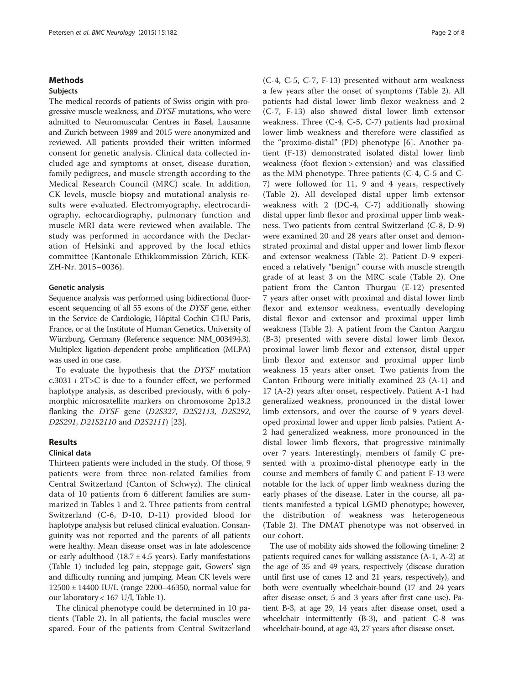#### **Methods**

# Subjects

The medical records of patients of Swiss origin with progressive muscle weakness, and DYSF mutations, who were admitted to Neuromuscular Centres in Basel, Lausanne and Zurich between 1989 and 2015 were anonymized and reviewed. All patients provided their written informed consent for genetic analysis. Clinical data collected included age and symptoms at onset, disease duration, family pedigrees, and muscle strength according to the Medical Research Council (MRC) scale. In addition, CK levels, muscle biopsy and mutational analysis results were evaluated. Electromyography, electrocardiography, echocardiography, pulmonary function and muscle MRI data were reviewed when available. The study was performed in accordance with the Declaration of Helsinki and approved by the local ethics committee (Kantonale Ethikkommission Zürich, KEK-ZH-Nr. 2015–0036).

#### Genetic analysis

Sequence analysis was performed using bidirectional fluorescent sequencing of all 55 exons of the DYSF gene, either in the Service de Cardiologie, Hôpital Cochin CHU Paris, France, or at the Institute of Human Genetics, University of Würzburg, Germany (Reference sequence: NM\_003494.3). Multiplex ligation-dependent probe amplification (MLPA) was used in one case.

To evaluate the hypothesis that the DYSF mutation  $c.3031 + 2T > C$  is due to a founder effect, we performed haplotype analysis, as described previously, with 6 polymorphic microsatellite markers on chromosome 2p13.2 flanking the DYSF gene (D2S327, D2S2113, D2S292, D2S291, D21S2110 and D2S2111) [\[23](#page-7-0)].

# Results

#### Clinical data

Thirteen patients were included in the study. Of those, 9 patients were from three non-related families from Central Switzerland (Canton of Schwyz). The clinical data of 10 patients from 6 different families are summarized in Tables [1](#page-2-0) and [2](#page-3-0). Three patients from central Switzerland (C-6, D-10, D-11) provided blood for haplotype analysis but refused clinical evaluation. Consanguinity was not reported and the parents of all patients were healthy. Mean disease onset was in late adolescence or early adulthood  $(18.7 \pm 4.5 \text{ years})$ . Early manifestations (Table [1](#page-2-0)) included leg pain, steppage gait, Gowers' sign and difficulty running and jumping. Mean CK levels were 12500 ± 14400 IU/L (range 2200–46350, normal value for our laboratory < 167 U/l, Table [1](#page-2-0)).

The clinical phenotype could be determined in 10 patients (Table [2](#page-3-0)). In all patients, the facial muscles were spared. Four of the patients from Central Switzerland (C-4, C-5, C-7, F-13) presented without arm weakness a few years after the onset of symptoms (Table [2\)](#page-3-0). All patients had distal lower limb flexor weakness and 2 (C-7, F-13) also showed distal lower limb extensor weakness. Three (C-4, C-5, C-7) patients had proximal lower limb weakness and therefore were classified as the "proximo-distal" (PD) phenotype [[6\]](#page-6-0). Another patient (F-13) demonstrated isolated distal lower limb weakness (foot flexion > extension) and was classified as the MM phenotype. Three patients (C-4, C-5 and C-7) were followed for 11, 9 and 4 years, respectively (Table [2\)](#page-3-0). All developed distal upper limb extensor weakness with 2 (DC-4, C-7) additionally showing distal upper limb flexor and proximal upper limb weakness. Two patients from central Switzerland (C-8, D-9) were examined 20 and 28 years after onset and demonstrated proximal and distal upper and lower limb flexor and extensor weakness (Table [2](#page-3-0)). Patient D-9 experienced a relatively "benign" course with muscle strength grade of at least 3 on the MRC scale (Table [2\)](#page-3-0). One patient from the Canton Thurgau (E-12) presented 7 years after onset with proximal and distal lower limb flexor and extensor weakness, eventually developing distal flexor and extensor and proximal upper limb weakness (Table [2\)](#page-3-0). A patient from the Canton Aargau (B-3) presented with severe distal lower limb flexor, proximal lower limb flexor and extensor, distal upper limb flexor and extensor and proximal upper limb weakness 15 years after onset. Two patients from the Canton Fribourg were initially examined 23 (A-1) and 17 (A-2) years after onset, respectively. Patient A-1 had generalized weakness, pronounced in the distal lower limb extensors, and over the course of 9 years developed proximal lower and upper limb palsies. Patient A-2 had generalized weakness, more pronounced in the distal lower limb flexors, that progressive minimally over 7 years. Interestingly, members of family C presented with a proximo-distal phenotype early in the course and members of family C and patient F-13 were notable for the lack of upper limb weakness during the early phases of the disease. Later in the course, all patients manifested a typical LGMD phenotype; however, the distribution of weakness was heterogeneous (Table [2\)](#page-3-0). The DMAT phenotype was not observed in our cohort.

The use of mobility aids showed the following timeline: 2 patients required canes for walking assistance (A-1, A-2) at the age of 35 and 49 years, respectively (disease duration until first use of canes 12 and 21 years, respectively), and both were eventually wheelchair-bound (17 and 24 years after disease onset; 5 and 3 years after first cane use). Patient B-3, at age 29, 14 years after disease onset, used a wheelchair intermittently (B-3), and patient C-8 was wheelchair-bound, at age 43, 27 years after disease onset.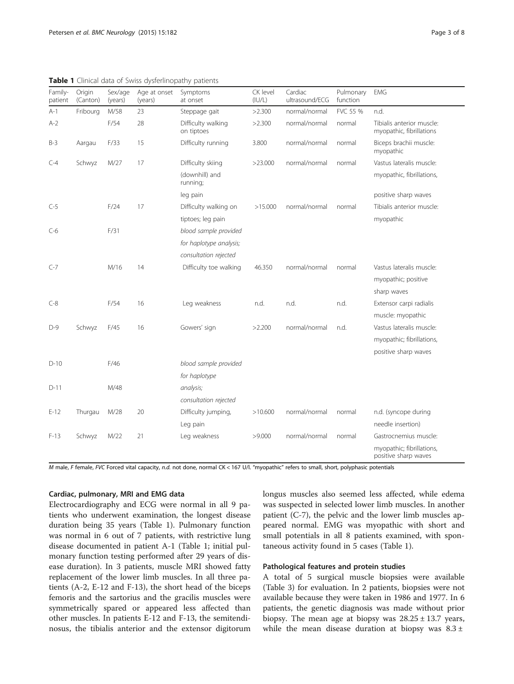| Family-<br>patient | Origin<br>(Canton)   | Sex/age<br>(years) | Age at onset<br>(years) | CK level<br>Cardiac<br>Symptoms<br>(IU/L)<br>at onset |               | ultrasound/ECG | Pulmonary<br>function | <b>EMG</b>                                            |
|--------------------|----------------------|--------------------|-------------------------|-------------------------------------------------------|---------------|----------------|-----------------------|-------------------------------------------------------|
| A-1                | Fribourg             | M/58               | 23                      | Steppage gait                                         | >2.300        | normal/normal  | FVC 55 %              | n.d.                                                  |
| $A-2$              |                      | F/54               | 28                      | Difficulty walking<br>on tiptoes                      | >2.300        | normal/normal  | normal                | Tibialis anterior muscle:<br>myopathic, fibrillations |
| $B-3$              | Aargau               | F/33               | 15                      | Difficulty running                                    | 3.800         | normal/normal  | normal                | Biceps brachii muscle:<br>myopathic                   |
| $C-4$              | Schwyz<br>M/27       |                    | 17                      | Difficulty skiing                                     | >23.000       | normal/normal  | normal                | Vastus lateralis muscle:                              |
|                    |                      |                    |                         | (downhill) and<br>running;                            |               |                |                       | myopathic, fibrillations,                             |
|                    |                      |                    |                         | leg pain                                              |               |                |                       | positive sharp waves                                  |
| $C-5$              |                      | F/24               | 17                      | Difficulty walking on                                 | >15.000       | normal/normal  | normal                | Tibialis anterior muscle:                             |
|                    |                      |                    |                         | tiptoes; leg pain                                     |               |                |                       | myopathic                                             |
| $C-6$              |                      | F/31               |                         | blood sample provided                                 |               |                |                       |                                                       |
|                    |                      |                    |                         | for haplotype analysis;                               |               |                |                       |                                                       |
|                    |                      |                    |                         | consultation rejected                                 |               |                |                       |                                                       |
| $C-7$              |                      | M/16               | 14                      | Difficulty toe walking                                | 46.350        | normal/normal  | normal                | Vastus lateralis muscle:                              |
|                    |                      |                    |                         |                                                       |               |                |                       | myopathic; positive                                   |
|                    |                      |                    |                         |                                                       |               |                |                       | sharp waves                                           |
| $C-8$              |                      | F/54               | 16                      | Leg weakness                                          | n.d.          | n.d.           | n.d.                  | Extensor carpi radialis                               |
|                    |                      |                    |                         |                                                       |               |                |                       | muscle: myopathic                                     |
| $D-9$              | Schwyz               | F/45               | 16                      | Gowers' sign                                          | >2.200        | normal/normal  | n.d.                  | Vastus lateralis muscle:                              |
|                    |                      |                    |                         |                                                       |               |                |                       | myopathic; fibrillations,                             |
|                    |                      |                    |                         |                                                       |               |                |                       | positive sharp waves                                  |
| $D-10$             |                      | F/46               |                         | blood sample provided                                 |               |                |                       |                                                       |
|                    |                      |                    |                         | for haplotype                                         |               |                |                       |                                                       |
| $D-11$             |                      | M/48               |                         | analysis;                                             |               |                |                       |                                                       |
|                    |                      |                    |                         | consultation rejected                                 |               |                |                       |                                                       |
| $E-12$             | Thurgau              | M/28               | 20                      | Difficulty jumping,                                   | >10.600       | normal/normal  | normal                | n.d. (syncope during                                  |
|                    |                      |                    |                         | Leg pain                                              |               |                |                       | needle insertion)                                     |
| $F-13$             | Schwyz<br>M/22<br>21 |                    | Leg weakness            | >9.000                                                | normal/normal | normal         | Gastrocnemius muscle: |                                                       |
|                    |                      |                    |                         |                                                       |               |                |                       | myopathic; fibrillations,<br>positive sharp waves     |

<span id="page-2-0"></span>**Table 1** Clinical data of Swiss dysferlinopathy patients

M male, F female, FVC Forced vital capacity, n.d. not done, normal CK < 167 U/l. "myopathic" refers to small, short, polyphasic potentials

#### Cardiac, pulmonary, MRI and EMG data

Electrocardiography and ECG were normal in all 9 patients who underwent examination, the longest disease duration being 35 years (Table 1). Pulmonary function was normal in 6 out of 7 patients, with restrictive lung disease documented in patient A-1 (Table 1; initial pulmonary function testing performed after 29 years of disease duration). In 3 patients, muscle MRI showed fatty replacement of the lower limb muscles. In all three patients (A-2, E-12 and F-13), the short head of the biceps femoris and the sartorius and the gracilis muscles were symmetrically spared or appeared less affected than other muscles. In patients E-12 and F-13, the semitendinosus, the tibialis anterior and the extensor digitorum longus muscles also seemed less affected, while edema was suspected in selected lower limb muscles. In another patient (C-7), the pelvic and the lower limb muscles appeared normal. EMG was myopathic with short and small potentials in all 8 patients examined, with spontaneous activity found in 5 cases (Table 1).

# Pathological features and protein studies

A total of 5 surgical muscle biopsies were available (Table [3](#page-4-0)) for evaluation. In 2 patients, biopsies were not available because they were taken in 1986 and 1977. In 6 patients, the genetic diagnosis was made without prior biopsy. The mean age at biopsy was  $28.25 \pm 13.7$  years, while the mean disease duration at biopsy was  $8.3 \pm$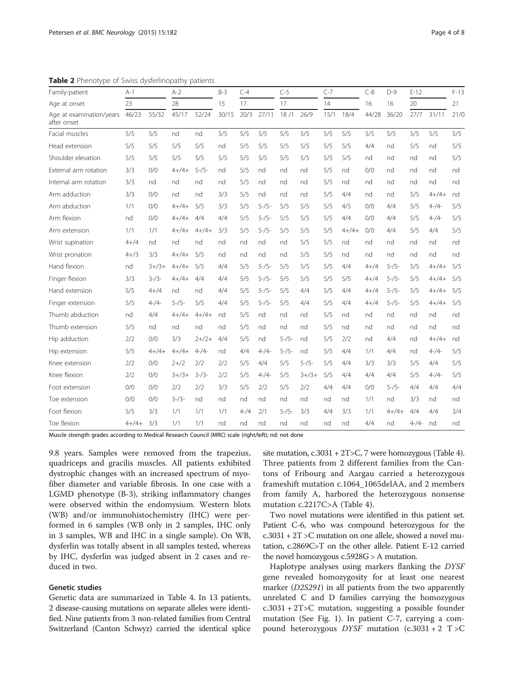| Family-patient                          | $A-1$<br>23 |             | $A-2$<br>28 |            | $B-3$<br>15 | $C-4$<br>17 |            | $C-5$<br>17 |             | $C-7$<br>14  |         | $C-8$<br>16 | $D-9$<br>16 | $E-12$<br>20 |             | $F-13$<br>21 |
|-----------------------------------------|-------------|-------------|-------------|------------|-------------|-------------|------------|-------------|-------------|--------------|---------|-------------|-------------|--------------|-------------|--------------|
| Age at onset                            |             |             |             |            |             |             |            |             |             |              |         |             |             |              |             |              |
| Age at examination/years<br>after onset | 46/23       | 55/32       | 45/17       | 52/24      | 30/15       | 20/3        | 27/11      | 18/1        | 26/9        | 15/1<br>18/4 |         | 44/28       | 36/20       | 27/7         | 31/11       | 21/C         |
| Facial muscles                          | 5/5         | 5/5         | nd          | nd         | 5/5         | 5/5         | 5/5        | 5/5         | 5/5         | 5/5          | 5/5     | 5/5         | 5/5         | 5/5          | 5/5         | 5/5          |
| Head extension                          | 5/5         | 5/5         | 5/5         | 5/5        | nd          | 5/5         | 5/5        | 5/5         | 5/5         | 5/5          | 5/5     | 4/4         | nd          | 5/5          | nd          | 5/5          |
| Shoulder elevation                      | 5/5         | 5/5         | 5/5         | 5/5        | 5/5         | 5/5         | 5/5        | 5/5         | 5/5         | 5/5          | 5/5     | nd          | nd          | nd           | nd          | 5/5          |
| External arm rotation                   | 3/3         | 0/0         | $4 + 74 +$  | $5 - 75 -$ | nd          | 5/5         | nd         | nd          | nd          | 5/5          | nd      | 0/0         | nd          | nd           | nd          | nd           |
| Internal arm rotation                   | 3/3         | nd          | nd          | nd         | nd          | 5/5         | nd         | nd          | nd          | 5/5          | nd      | nd          | nd          | nd           | nd          | nd           |
| Arm adduction                           | 3/3         | 0/0         | nd          | nd         | 3/3         | 5/5         | nd         | nd          | nd          | 5/5          | 4/4     | nd          | nd          | 5/5          | $4+/4+$     | nd           |
| Arm abduction                           | 1/1         | 0/0         | $4+/4+$     | 5/5        | 3/3         | 5/5         | $5 - 75 -$ | 5/5         | 5/5         | 5/5          | 4/5     | 0/0         | 4/4         | 5/5          | $4 - 14 -$  | 5/5          |
| Arm flexion                             | nd          | 0/0         | $4 + 74 +$  | 4/4        | 4/4         | 5/5         | $5 - 75 -$ | 5/5         | 5/5         | 5/5          | 4/4     | 0/0         | 4/4         | 5/5          | $4 - 14 -$  | 5/5          |
| Arm extension                           | 1/1         | 1/1         | $4+/4+$     | $4+/4+$    | 3/3         | 5/5         | $5 - 75 -$ | 5/5         | 5/5         | 5/5          | $4+/4+$ | 0/0         | 4/4         | 5/5          | 4/4         | 5/5          |
| Wrist supination                        | $4 + 14$    | nd          | nd          | nd         | nd          | nd          | nd         | nd          | 5/5         | 5/5          | nd      | nd          | nd          | nd           | nd          | nd           |
| Wrist pronation                         | $4 + / 3$   | 3/3         | $4+/4+$     | 5/5        | nd          | nd          | nd         | nd          | 5/5         | 5/5          | nd      | nd          | nd          | nd           | nd          | nd           |
| Hand flexion                            | nd          | $3 + / 3 +$ | $4+/4+$     | 5/5        | 4/4         | 5/5         | $5 - 75 -$ | 5/5         | 5/5         | 5/5          | 4/4     | $4 + 74$    | $5 - 15 -$  | 5/5          | $4+/4+$     | 5/5          |
| Finger flexion                          | 3/3         | $3 - 73 -$  | $4 + 74 +$  | 4/4        | 4/4         | 5/5         | $5 - 75 -$ | 5/5         | 5/5         | 5/5          | 5/5     | $4 + 74$    | $5 - 75 -$  | 5/5          | $4 + / 4 +$ | 5/5          |
| Hand extension                          | 5/5         | $4 + 14$    | nd          | nd         | 4/4         | 5/5         | $5 - 75 -$ | 5/5         | 4/4         | 5/5          | 4/4     | $4 + 4$     | $5 - 75 -$  | 5/5          | $4+/4+$     | 5/5          |
| Finger extension                        | 5/5         | $4 - 14 -$  | $5 - 75 -$  | 5/5        | 4/4         | 5/5         | $5 - 75 -$ | 5/5         | 4/4         | 5/5          | 4/4     | $4 + 4$     | $5 - 75 -$  | 5/5          | $4+/4+$     | 5/5          |
| Thumb abduction                         | nd          | 4/4         | $4+/4+$     | $4+/4+$    | nd          | 5/5         | nd         | nd          | nd          | 5/5          | nd      | nd          | nd          | nd           | nd          | nd           |
| Thumb extension                         | 5/5         | nd          | nd          | nd         | nd          | 5/5         | nd         | nd          | nd          | 5/5          | nd      | nd          | nd          | nd           | nd          | nd           |
| Hip adduction                           | 2/2         | 0/0         | 3/3         | $2+/2+$    | 4/4         | 5/5         | nd         | $5 - 75$    | nd          | 5/5          | 2/2     | nd          | 4/4         | nd           | $4+/4+$     | nd           |
| Hip extension                           | 5/5         | $4+/4+$     | $4+/4+$     | $4 - 14 -$ | nd          | 4/4         | $4 - 14$   | $5 - 75 -$  | nd          | 5/5          | 4/4     | 1/1         | 4/4         | nd           | $4 - 14 -$  | 5/5          |
| Knee extension                          | 2/2         | 0/0         | $2 + 72$    | 2/2        | 2/2         | 5/5         | 4/4        | 5/5         | $5 - 75 -$  | 5/5          | 4/4     | 3/3         | 3/3         | 5/5          | 4/4         | 5/5          |
| Knee flexion                            | 2/2         | 0/0         | $3 + / 3 +$ | $3 - 73$   | 7/7         | 5/5         | $4 - 14$   | 5/5         | $3 + / 3 +$ | 5/5          | 4/4     | 4/4         | 4/4         | 5/5          | $4 - 14 -$  | 5/5          |
| Foot extension                          | 0/0         | 0/0         | 2/2         | 2/2        | 3/3         | 5/5         | 2/2        | 5/5         | 2/2         | 4/4          | 4/4     | 0/0         | $5 - 75 -$  | 4/4          | 4/4         | 4/4          |
| Toe extension                           | 0/0         | 0/0         | $3 - 73 -$  | nd         | nd          | nd          | nd         | nd          | nd          | nd           | nd      | 1/1         | nd          | 3/3          | nd          | nd           |
| Foot flexion                            | 5/5         | 3/3         | 1/1         | 1/1        | 1/1         | $4 - 14$    | 2/1        | $5 - 75 -$  | 3/3         | 4/4          | 3/3     | 1/1         | $4 + 74 +$  | 4/4          | 4/4         | 3/4          |
| Toe flexion                             | $4 + 74 +$  | 3/3         | 1/1         | 1/1        | nd          | nd          | nd         | nd          | nd          | nd           | nd      | 4/4         | nd          | $4 - 4 -$    | nd          | nd           |

<span id="page-3-0"></span>Table 2 Phenotype of Swiss dysferlinopathy patients

Muscle strength grades according to Medical Research Council (MRC) scale (right/left); nd: not done

9.8 years. Samples were removed from the trapezius, quadriceps and gracilis muscles. All patients exhibited dystrophic changes with an increased spectrum of myofiber diameter and variable fibrosis. In one case with a LGMD phenotype (B-3), striking inflammatory changes were observed within the endomysium. Western blots (WB) and/or immunohistochemistry (IHC) were performed in 6 samples (WB only in 2 samples, IHC only in 3 samples, WB and IHC in a single sample). On WB, dysferlin was totally absent in all samples tested, whereas by IHC, dysferlin was judged absent in 2 cases and reduced in two.

# Genetic studies

Genetic data are summarized in Table [4.](#page-4-0) In 13 patients, 2 disease-causing mutations on separate alleles were identified. Nine patients from 3 non-related families from Central Switzerland (Canton Schwyz) carried the identical splice

site mutation,  $c.3031 + 2T > C$ , 7 were homozygous (Table [4](#page-4-0)). Three patients from 2 different families from the Cantons of Fribourg and Aargau carried a heterozygous frameshift mutation c.1064\_1065delAA, and 2 members from family A, harbored the heterozygous nonsense mutation c.2217C>A (Table [4](#page-4-0)).

Two novel mutations were identified in this patient set. Patient C-6, who was compound heterozygous for the  $c.3031 + 2T > C$  mutation on one allele, showed a novel mutation, c.2869C>T on the other allele. Patient E-12 carried the novel homozygous c.5928G > A mutation.

Haplotype analyses using markers flanking the DYSF gene revealed homozygosity for at least one nearest marker (D2S291) in all patients from the two apparently unrelated C and D families carrying the homozygous  $c.3031 + 2T>C$  mutation, suggesting a possible founder mutation (See Fig. [1](#page-5-0)). In patient C-7, carrying a compound heterozygous  $DYSF$  mutation (c.3031 + 2 T > C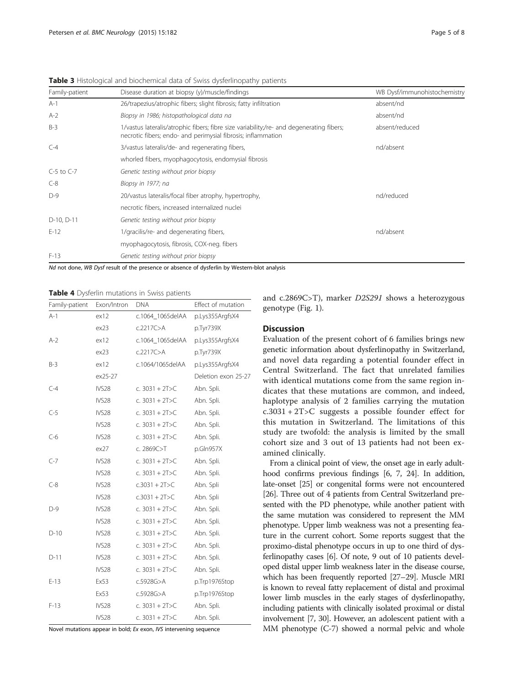| <b>ROLL 3</b> I INCREDICT AND CONTINUES ON A 2003 UPSICIAL DUCTING PARTIES |                                                                                                                                                                            |                              |  |  |  |  |  |
|----------------------------------------------------------------------------|----------------------------------------------------------------------------------------------------------------------------------------------------------------------------|------------------------------|--|--|--|--|--|
| Family-patient                                                             | Disease duration at biopsy (y)/muscle/findings                                                                                                                             | WB Dysf/immunohistochemistry |  |  |  |  |  |
| $A-1$                                                                      | 26/trapezius/atrophic fibers; slight fibrosis; fatty infiltration                                                                                                          | absent/nd                    |  |  |  |  |  |
| $A-2$                                                                      | Biopsy in 1986; histopathological data na                                                                                                                                  | absent/nd                    |  |  |  |  |  |
| $B-3$                                                                      | 1/vastus lateralis/atrophic fibers; fibre size variability;/re- and degenerating fibers;<br>absent/reduced<br>necrotic fibers; endo- and perimysial fibrosis; inflammation |                              |  |  |  |  |  |
| $C-4$                                                                      | 3/vastus lateralis/de- and regenerating fibers,                                                                                                                            | nd/absent                    |  |  |  |  |  |
|                                                                            | whorled fibers, myophagocytosis, endomysial fibrosis                                                                                                                       |                              |  |  |  |  |  |
| $C-5$ to $C-7$                                                             | Genetic testing without prior biopsy                                                                                                                                       |                              |  |  |  |  |  |
| $C-8$                                                                      | Biopsy in 1977; na                                                                                                                                                         |                              |  |  |  |  |  |
| $D-9$                                                                      | 20/vastus lateralis/focal fiber atrophy, hypertrophy,                                                                                                                      | nd/reduced                   |  |  |  |  |  |
|                                                                            | necrotic fibers, increased internalized nuclei                                                                                                                             |                              |  |  |  |  |  |
| D-10, D-11                                                                 | Genetic testing without prior biopsy                                                                                                                                       |                              |  |  |  |  |  |
| $E-12$                                                                     | 1/gracilis/re- and degenerating fibers,                                                                                                                                    | nd/absent                    |  |  |  |  |  |
|                                                                            | myophagocytosis, fibrosis, COX-neg. fibers                                                                                                                                 |                              |  |  |  |  |  |
| $F-13$                                                                     | Genetic testing without prior biopsy                                                                                                                                       |                              |  |  |  |  |  |

<span id="page-4-0"></span>Table 3 Histological and biochemical data of Swiss dysferlinopathy patients

Nd not done, WB Dysf result of the presence or absence of dysferlin by Western-blot analysis

Table 4 Dysferlin mutations in Swiss patients

| Family-patient | Exon/Intron       | <b>DNA</b>         | Effect of mutation  |  |  |  |
|----------------|-------------------|--------------------|---------------------|--|--|--|
| $A-1$          | ex12              | c.1064_1065delAA   | p.Lys355ArgfsX4     |  |  |  |
|                | ex23              | c.2217C>A          | p.Tyr739X           |  |  |  |
| $A-2$          | ex12              | c.1064_1065delAA   | p.Lys355ArgfsX4     |  |  |  |
|                | ex23              | c.2217C > A        | p.Tyr739X           |  |  |  |
| B-3            | ex12              | c.1064/1065delAA   | p.Lys355ArgfsX4     |  |  |  |
|                | ex25-27           |                    | Deletion exon 25-27 |  |  |  |
| $C-4$          | IVS28             | c. $3031 + 2T > C$ | Abn. Spli.          |  |  |  |
|                | IVS28             | c. $3031 + 2T > C$ | Abn. Spli.          |  |  |  |
| $C-5$          | IVS <sub>28</sub> | c. $3031 + 2T > C$ | Abn. Spli.          |  |  |  |
|                | IVS <sub>28</sub> | c. $3031 + 2T > C$ | Abn. Spli.          |  |  |  |
| $C-6$          | IVS28             | c. $3031 + 2T > C$ | Abn. Spli.          |  |  |  |
|                | ex27              | c. 2869C>T         | p.Gln957X           |  |  |  |
| $C-7$          | IVS <sub>28</sub> | c. $3031 + 2T > C$ | Abn. Spli.          |  |  |  |
|                | IVS28             | c. $3031 + 2T > C$ | Abn. Spli.          |  |  |  |
| $C-8$          | IVS <sub>28</sub> | $c.3031 + 2T > C$  | Abn. Spli           |  |  |  |
|                | IVS <sub>28</sub> | $c.3031 + 2T > C$  | Abn. Spli           |  |  |  |
| $D-9$          | IVS28             | c. $3031 + 2T > C$ | Abn. Spli.          |  |  |  |
|                | IVS28             | c. $3031 + 2T > C$ | Abn. Spli.          |  |  |  |
| $D-10$         | IVS28             | c. $3031 + 2T > C$ | Abn. Spli.          |  |  |  |
|                | IVS28             | c. $3031 + 2T > C$ | Abn. Spli.          |  |  |  |
| $D-11$         | IVS <sub>28</sub> | c. $3031 + 2T > C$ | Abn. Spli.          |  |  |  |
|                | IVS <sub>28</sub> | c. $3031 + 2T > C$ | Abn. Spli.          |  |  |  |
| $E-13$         | Ex53              | c.5928G > A        | p.Trp1976Stop       |  |  |  |
|                | Ex53              | $c.5928G$ >A       | p.Trp1976Stop       |  |  |  |
| $F-13$         | IVS28             | c. $3031 + 2T > C$ | Abn. Spli.          |  |  |  |
|                | IVS28             | c. $3031 + 2T > C$ | Abn. Spli.          |  |  |  |

Novel mutations appear in bold; Ex exon, IVS intervening sequence

and c.2869C>T), marker D2S291 shows a heterozygous genotype (Fig. [1](#page-5-0)).

# **Discussion**

Evaluation of the present cohort of 6 families brings new genetic information about dysferlinopathy in Switzerland, and novel data regarding a potential founder effect in Central Switzerland. The fact that unrelated families with identical mutations come from the same region indicates that these mutations are common, and indeed, haplotype analysis of 2 families carrying the mutation c.3031 + 2T>C suggests a possible founder effect for this mutation in Switzerland. The limitations of this study are twofold: the analysis is limited by the small cohort size and 3 out of 13 patients had not been examined clinically.

From a clinical point of view, the onset age in early adulthood confirms previous findings [\[6](#page-6-0), [7,](#page-6-0) [24\]](#page-7-0). In addition, late-onset [\[25](#page-7-0)] or congenital forms were not encountered [[26](#page-7-0)]. Three out of 4 patients from Central Switzerland presented with the PD phenotype, while another patient with the same mutation was considered to represent the MM phenotype. Upper limb weakness was not a presenting feature in the current cohort. Some reports suggest that the proximo-distal phenotype occurs in up to one third of dysferlinopathy cases [[6](#page-6-0)]. Of note, 9 out of 10 patients developed distal upper limb weakness later in the disease course, which has been frequently reported [\[27](#page-7-0)–[29\]](#page-7-0). Muscle MRI is known to reveal fatty replacement of distal and proximal lower limb muscles in the early stages of dysferlinopathy, including patients with clinically isolated proximal or distal involvement [\[7,](#page-6-0) [30](#page-7-0)]. However, an adolescent patient with a MM phenotype (C-7) showed a normal pelvic and whole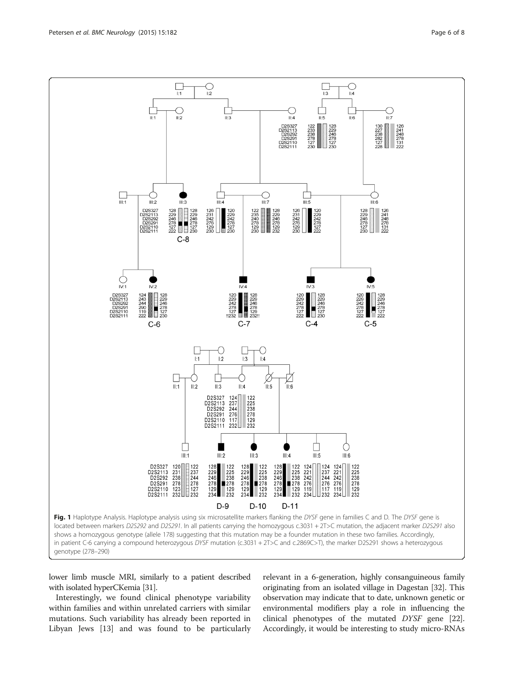<span id="page-5-0"></span>

lower limb muscle MRI, similarly to a patient described with isolated hyperCKemia [\[31\]](#page-7-0).

Interestingly, we found clinical phenotype variability within families and within unrelated carriers with similar mutations. Such variability has already been reported in Libyan Jews [[13\]](#page-7-0) and was found to be particularly relevant in a 6-generation, highly consanguineous family originating from an isolated village in Dagestan [[32](#page-7-0)]. This observation may indicate that to date, unknown genetic or environmental modifiers play a role in influencing the clinical phenotypes of the mutated DYSF gene [[22](#page-7-0)]. Accordingly, it would be interesting to study micro-RNAs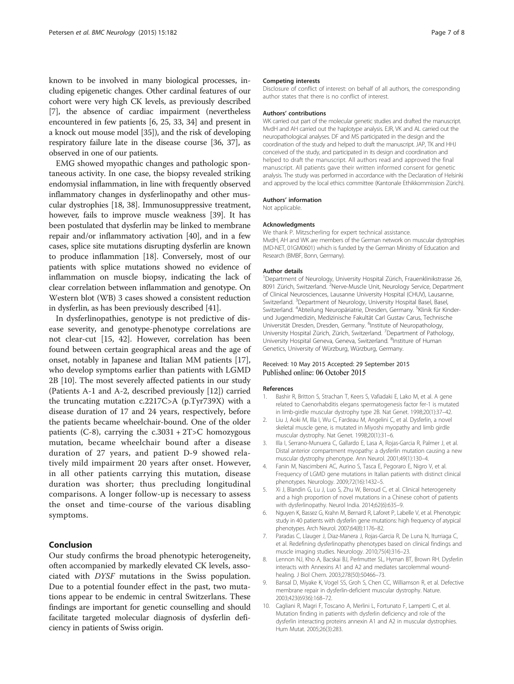<span id="page-6-0"></span>known to be involved in many biological processes, including epigenetic changes. Other cardinal features of our cohort were very high CK levels, as previously described [7], the absence of cardiac impairment (nevertheless encountered in few patients [6, [25, 33, 34\]](#page-7-0) and present in a knock out mouse model [\[35\]](#page-7-0)), and the risk of developing respiratory failure late in the disease course [\[36, 37\]](#page-7-0), as observed in one of our patients.

EMG showed myopathic changes and pathologic spontaneous activity. In one case, the biopsy revealed striking endomysial inflammation, in line with frequently observed inflammatory changes in dysferlinopathy and other muscular dystrophies [\[18, 38\]](#page-7-0). Immunosuppressive treatment, however, fails to improve muscle weakness [\[39\]](#page-7-0). It has been postulated that dysferlin may be linked to membrane repair and/or inflammatory activation [[40](#page-7-0)], and in a few cases, splice site mutations disrupting dysferlin are known to produce inflammation [[18](#page-7-0)]. Conversely, most of our patients with splice mutations showed no evidence of inflammation on muscle biopsy, indicating the lack of clear correlation between inflammation and genotype. On Western blot (WB) 3 cases showed a consistent reduction in dysferlin, as has been previously described [\[41\]](#page-7-0).

In dysferlinopathies, genotype is not predictive of disease severity, and genotype-phenotype correlations are not clear-cut [\[15](#page-7-0), [42\]](#page-7-0). However, correlation has been found between certain geographical areas and the age of onset, notably in Japanese and Italian MM patients [\[17](#page-7-0)], who develop symptoms earlier than patients with LGMD 2B [10]. The most severely affected patients in our study (Patients A-1 and A-2, described previously [[12\]](#page-7-0)) carried the truncating mutation c.2217C>A (p.Tyr739X) with a disease duration of 17 and 24 years, respectively, before the patients became wheelchair-bound. One of the older patients (C-8), carrying the  $c.3031 + 2T > C$  homozygous mutation, became wheelchair bound after a disease duration of 27 years, and patient D-9 showed relatively mild impairment 20 years after onset. However, in all other patients carrying this mutation, disease duration was shorter; thus precluding longitudinal comparisons. A longer follow-up is necessary to assess the onset and time-course of the various disabling symptoms.

### Conclusion

Our study confirms the broad phenotypic heterogeneity, often accompanied by markedly elevated CK levels, associated with DYSF mutations in the Swiss population. Due to a potential founder effect in the past, two mutations appear to be endemic in central Switzerlans. These findings are important for genetic counselling and should facilitate targeted molecular diagnosis of dysferlin deficiency in patients of Swiss origin.

#### Competing interests

Disclosure of conflict of interest: on behalf of all authors, the corresponding author states that there is no conflict of interest.

#### Authors' contributions

WK carried out part of the molecular genetic studies and drafted the manuscript. MvdH and AH carried out the haplotype analysis. EJR, VK and AL carried out the neuropathological analyses. DF and MS participated in the design and the coordination of the study and helped to draft the manuscript. JAP, TK and HHJ conceived of the study, and participated in its design and coordination and helped to draft the manuscript. All authors read and approved the final manuscript. All patients gave their written informed consent for genetic analysis. The study was performed in accordance with the Declaration of Helsinki and approved by the local ethics committee (Kantonale Ethikkommission Zürich).

#### Authors' information

Not applicable.

#### Acknowledgments

We thank P. Mitzscherling for expert technical assistance. MvdH, AH and WK are members of the German network on muscular dystrophies (MD-NET, 01GM0601) which is funded by the German Ministry of Education and Research (BMBF, Bonn, Germany).

#### Author details

<sup>1</sup>Department of Neurology, University Hospital Zürich, Frauenklinikstrasse 26 8091 Zürich, Switzerland. <sup>2</sup>Nerve-Muscle Unit, Neurology Service, Department of Clinical Neurosciences, Lausanne University Hospital (CHUV), Lausanne, Switzerland. <sup>3</sup>Department of Neurology, University Hospital Basel, Basel, Switzerland. <sup>4</sup>Abteilung Neuropäriatrie, Dresden, Germany. <sup>5</sup>Klinik für Kinderund Jugendmedizin, Medizinische Fakultät Carl Gustav Carus, Technische Universität Dresden, Dresden, Germany. <sup>6</sup>Institute of Neuropathology University Hospital Zürich, Zürich, Switzerland. <sup>7</sup>Department of Pathology, University Hospital Geneva, Geneva, Switzerland. <sup>8</sup>Institure of Human Genetics, University of Würzburg, Würzburg, Germany.

#### Received: 10 May 2015 Accepted: 29 September 2015 Published online: 06 October 2015

#### References

- Bashir R, Britton S, Strachan T, Keers S, Vafiadaki E, Lako M, et al. A gene related to Caenorhabditis elegans spermatogenesis factor fer-1 is mutated in limb-girdle muscular dystrophy type 2B. Nat Genet. 1998;20(1):37–42.
- 2. Liu J, Aoki M, Illa I, Wu C, Fardeau M, Angelini C, et al. Dysferlin, a novel skeletal muscle gene, is mutated in Miyoshi myopathy and limb girdle muscular dystrophy. Nat Genet. 1998;20(1):31–6.
- 3. Illa I, Serrano-Munuera C, Gallardo E, Lasa A, Rojas-Garcia R, Palmer J, et al. Distal anterior compartment myopathy: a dysferlin mutation causing a new muscular dystrophy phenotype. Ann Neurol. 2001;49(1):130–4.
- 4. Fanin M, Nascimbeni AC, Aurino S, Tasca E, Pegoraro E, Nigro V, et al. Frequency of LGMD gene mutations in Italian patients with distinct clinical phenotypes. Neurology. 2009;72(16):1432–5.
- 5. Xi J, Blandin G, Lu J, Luo S, Zhu W, Beroud C, et al. Clinical heterogeneity and a high proportion of novel mutations in a Chinese cohort of patients with dysferlinopathy. Neurol India. 2014;62(6):635–9.
- 6. Nguyen K, Bassez G, Krahn M, Bernard R, Laforet P, Labelle V, et al. Phenotypic study in 40 patients with dysferlin gene mutations: high frequency of atypical phenotypes. Arch Neurol. 2007;64(8):1176–82.
- 7. Paradas C, Llauger J, Diaz-Manera J, Rojas-Garcia R, De Luna N, Iturriaga C, et al. Redefining dysferlinopathy phenotypes based on clinical findings and muscle imaging studies. Neurology. 2010;75(4):316–23.
- 8. Lennon NJ, Kho A, Bacskai BJ, Perlmutter SL, Hyman BT, Brown RH. Dysferlin interacts with Annexins A1 and A2 and mediates sarcolemmal woundhealing. J Biol Chem. 2003;278(50):50466–73.
- Bansal D, Miyake K, Vogel SS, Groh S, Chen CC, Williamson R, et al. Defective membrane repair in dysferlin-deficient muscular dystrophy. Nature. 2003;423(6936):168–72.
- 10. Cagliani R, Magri F, Toscano A, Merlini L, Fortunato F, Lamperti C, et al. Mutation finding in patients with dysferlin deficiency and role of the dysferlin interacting proteins annexin A1 and A2 in muscular dystrophies. Hum Mutat. 2005;26(3):283.